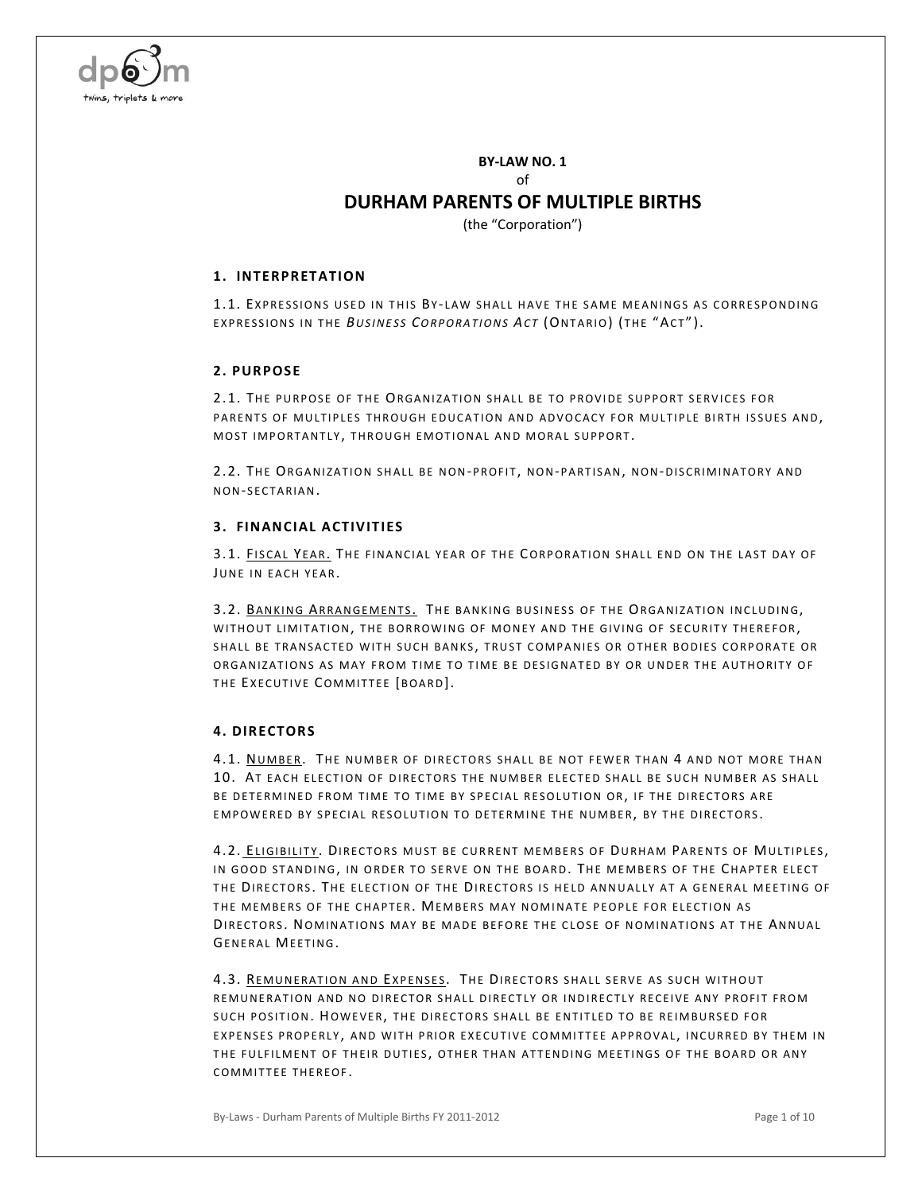

**BY-LAW NO. 1** of

## **DURHAM PARENTS OF MULTIPLE BIRTHS**

(the "Corporation")

#### **1. INTERPRETATION**

1.1. EXPRESSIONS USED IN THIS BY-LAW SHALL HAVE THE SAME MEANINGS AS CORRESPONDING EXPRESSIONS IN THE *BUSINESS CORPORATIONS ACT* (ONTARIO) (THE "ACT").

#### **2. PURPOSE**

2.1. THE PURPOSE OF THE ORGANIZATION SHALL BE TO PROVIDE SUPPORT SERVICES FOR PARENTS OF MULTIPLES THROUGH EDUCATION AND ADVOCACY FOR MULTIPLE BIRTH ISSUES AND, MOST IMPORTANTLY, THROUGH EMOTIONAL AND MORAL SUPPORT.

2.2. THE ORGANIZATION SHALL BE NON-PROFIT, NON-PARTISAN, NON-DISCRIMINATORY AND NON-SECTARIAN.

#### **3. FINANCIAL ACTIVITIES**

3.1. FISCAL YEAR. THE FINANCIAL YEAR OF THE CORPORATION SHALL END ON THE LAST DAY OF JUNE IN EACH YEAR.

3.2. BANKING ARRANGEMENTS. THE BANKING BUSINESS OF THE ORGANIZATION INCLUDING, WITHOUT LIMITATION, THE BORROWING OF MONEY AND THE GIVING OF SECURITY THEREFOR, SHALL BE TRANSACTED WITH SUCH BANKS, TRUST COMPANIES OR OTHER BODIES CORPORATE OR ORGANIZATIONS AS MAY FROM TIME TO TIME BE DESIGNATED BY OR UNDER THE AUTHORITY OF THE EXECUTIVE COMMITTEE [BOARD].

## **4. DIRECTORS**

4.1. NUMBER. THE NUMBER OF DIRECTORS SHALL BE NOT FEWER THAN 4 AND NOT MORE THAN 10. AT EACH ELECTION OF DIRECTORS THE NUMBER ELECTED SHALL BE SUCH NUMBER AS SHALL BE DETERMINED FROM TIME TO TIME BY SPECIAL RESOLUTION OR, IF THE DIRECTORS ARE EMPOWERED BY SPECIAL RESOLUTION TO DETERMINE THE NUMBER, BY THE DIRECTORS.

4.2. ELIGIBILITY. DIRECTORS MUST BE CURRENT MEMBERS OF DURHAM PARENTS OF MULTIPLES, IN GOOD STANDING, IN ORDER TO SERVE ON THE BOARD. THE MEMBERS OF THE CHAPTER ELECT THE DIRECTORS. THE ELECTION OF THE DIRECTORS IS HELD ANNUALLY AT A GENERAL MEETING OF THE MEMBERS OF THE CHAPTER. MEMBERS MAY NOMINATE PEOPLE FOR ELECTION AS DIRECTORS. NOMINATIONS MAY BE MADE BEFORE THE CLOSE OF NOMINATIONS AT THE ANNUAL GENERAL MEETING.

4.3. REMUNERATION AND EXPENSES. THE DIRECTORS SHALL SERVE AS SUCH WITHOUT REMUNERATION AND NO DIRECTOR SHALL DIRECTLY OR INDIRECTLY RECEIVE ANY PROFIT FROM SUCH POSITION. HOWEVER, THE DIRECTORS SHALL BE ENTITLED TO BE REIMBURSED FOR EXPENSES PROPERLY, AND WITH PRIOR EXECUTIVE COMMITTEE APPROVAL, INCURRED BY THEM IN THE FULFILMENT OF THEIR DUTIES, OTHER THAN ATTENDING MEETINGS OF THE BOARD OR ANY COMMITTEE THEREOF.

By-Laws - Durham Parents of Multiple Births FY 2011-2012 **Page 1 of 10** Page 1 of 10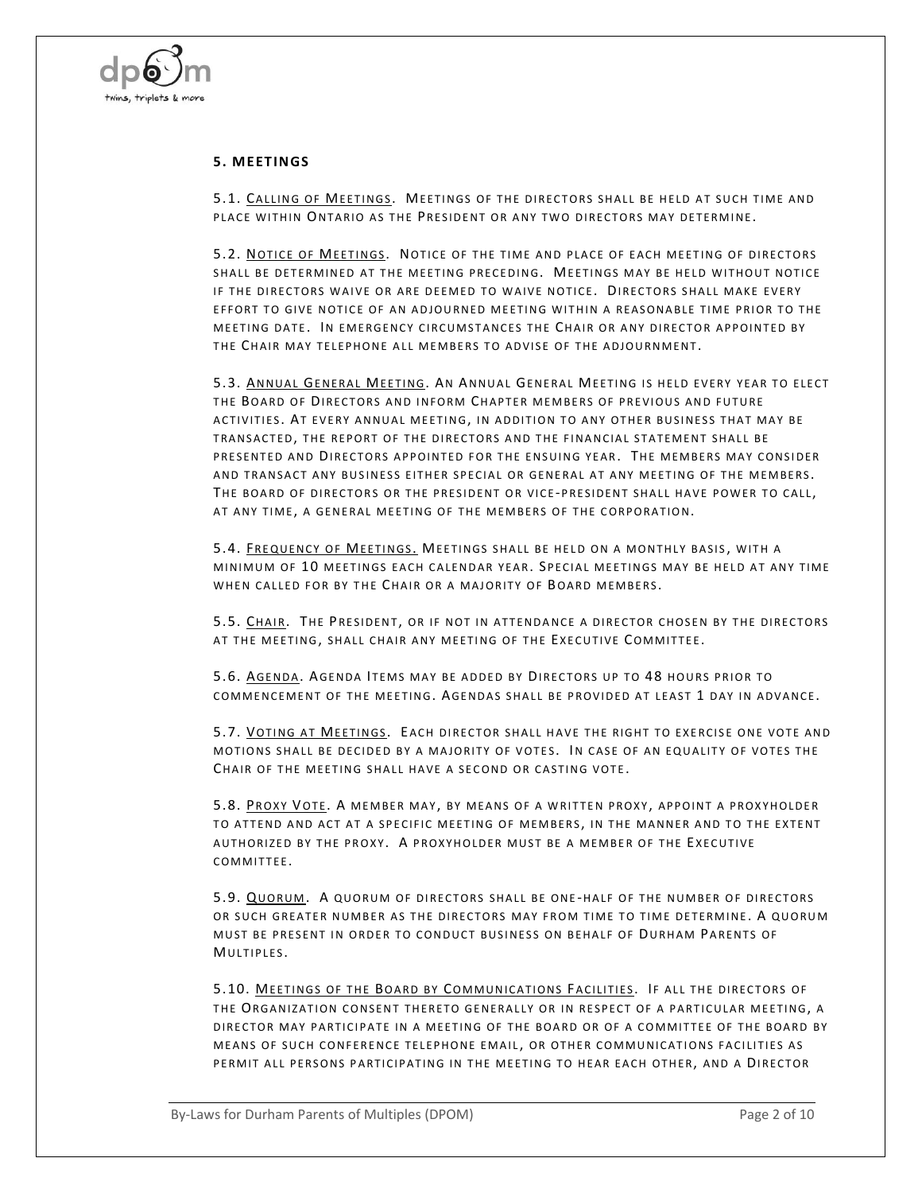

#### **5. M EETINGS**

5.1. CALLING OF MEETINGS. MEETINGS OF THE DIRECTORS SHALL BE HELD AT SUCH TIME AND PLACE WITHIN ONTARIO AS THE PRESIDENT OR ANY TWO DIRECTORS MAY DETERMINE.

5.2. NOTICE OF MEETINGS. NOTICE OF THE TIME AND PLACE OF EACH MEETING OF DIRECTORS SHALL BE DETERMINED AT THE MEETING PRECEDING. MEETINGS MAY BE HELD WITHOUT NOTICE IF THE DIRECTORS WAIVE OR ARE DEEMED TO WAIVE NOTICE. DIRECTORS SHALL MAKE EVERY EFFORT TO GIVE NOTICE OF AN ADJOURNED MEETING WITHIN A REASONABLE TIME PRIOR TO THE MEETING DATE. IN EMERGENCY CIRCUMSTANCES THE CHAIR OR ANY DIRECTOR APPOINTED BY THE CHAIR MAY TELEPHONE ALL MEMBERS TO ADVISE OF THE ADJOURNMENT.

5.3. ANNUAL GENERAL MEETING. AN ANNUAL GENERAL MEETING IS HELD EVERY YEAR TO ELECT THE BOARD OF DIRECTORS AND INFORM CHAPTER MEMBERS OF PREVIOUS AND FUTURE ACTIVITIES. AT EVERY ANNUAL MEETING, IN ADDITION TO ANY OTHER BUSINESS THAT MAY BE TRANSACTED, THE REPORT OF THE DIRECTORS AND THE FINANCIAL STATEMENT SHALL BE PRESENTED AND DIRECTORS APPOINTED FOR THE ENSUING YEAR. THE MEMBERS MAY CONSIDER AND TRANSACT ANY BUSINESS EITHER SPECIAL OR GENERAL AT ANY MEETING OF THE MEMBERS. THE BOARD OF DIRECTORS OR THE PRESIDENT OR VICE-PRESIDENT SHALL HAVE POWER TO CALL, AT ANY TIME, A GENERAL MEETING OF THE MEMBERS OF THE CORPORATION.

5.4. FREQUENCY OF MEETINGS. MEETINGS SHALL BE HELD ON A MONTHLY BASIS, WITH A MINIMUM OF 10 MEETINGS EACH CALENDAR YEAR. SPECIAL MEETINGS MAY BE HELD AT ANY TIME WHEN CALLED FOR BY THE CHAIR OR A MAJORITY OF BOARD MEMBERS.

5.5. CHAIR. THE PRESIDENT, OR IF NOT IN ATTENDANCE A DIRECTOR CHOSEN BY THE DIRECTORS AT THE MEETING, SHALL CHAIR ANY MEETING OF THE EXECUTIVE COMMITTEE.

5.6. AGENDA. AGENDA ITEMS MAY BE ADDED BY DIRECTORS UP TO 48 HOURS PRIOR TO COMMENCEMENT OF THE MEETING. AGENDAS SHALL BE PROVIDED AT LEAST 1 DAY IN ADVANCE.

5.7. VOTING AT MEETINGS. EACH DIRECTOR SHALL HAVE THE RIGHT TO EXERCISE ONE VOTE AND MOTIONS SHALL BE DECIDED BY A MAJORITY OF VOTES. IN CASE OF AN EQUALITY OF VOTES THE CHAIR OF THE MEETING SHALL HAVE A SECOND OR CASTING VOTE.

5.8. PROXY VOTE. A MEMBER MAY, BY MEANS OF A WRITTEN PROXY, APPOINT A PROXYHOLDER TO ATTEND AND ACT AT A SPECIFIC MEETING OF MEMBERS, IN THE MANNER AND TO THE EXTENT AUTHORIZED BY THE PROXY. A PROXYHOLDER MUST BE A MEMBER OF THE EXECUTIVE COMMITTEE.

5.9. QUORUM. A QUORUM OF DIRECTORS SHALL BE ONE-HALF OF THE NUMBER OF DIRECTORS OR SUCH GREATER NUMBER AS THE DIRECTORS MAY FROM TIME TO TIME DETERMINE. A QUORUM MUST BE PRESENT IN ORDER TO CONDUCT BUSINESS ON BEHALF OF DURHAM PARENTS OF MULTIPLES.

5.10. MEETINGS OF THE BOARD BY COMMUNICATIONS FACILITIES. IF ALL THE DIRECTORS OF THE ORGANIZATION CONSENT THERETO GENERALLY OR IN RESPECT OF A PARTICULAR MEETING, A DIRECTOR MAY PARTICIPATE IN A MEETING OF THE BOARD OR OF A COMMITTEE OF THE BOARD BY MEANS OF SUCH CONFERENCE TELEPHONE EMAIL, OR OTHER COMMUNICATIONS FACILITIES AS PERMIT ALL PERSONS PARTICIPATING IN THE MEETING TO HEAR EACH OTHER, AND A DIRECTOR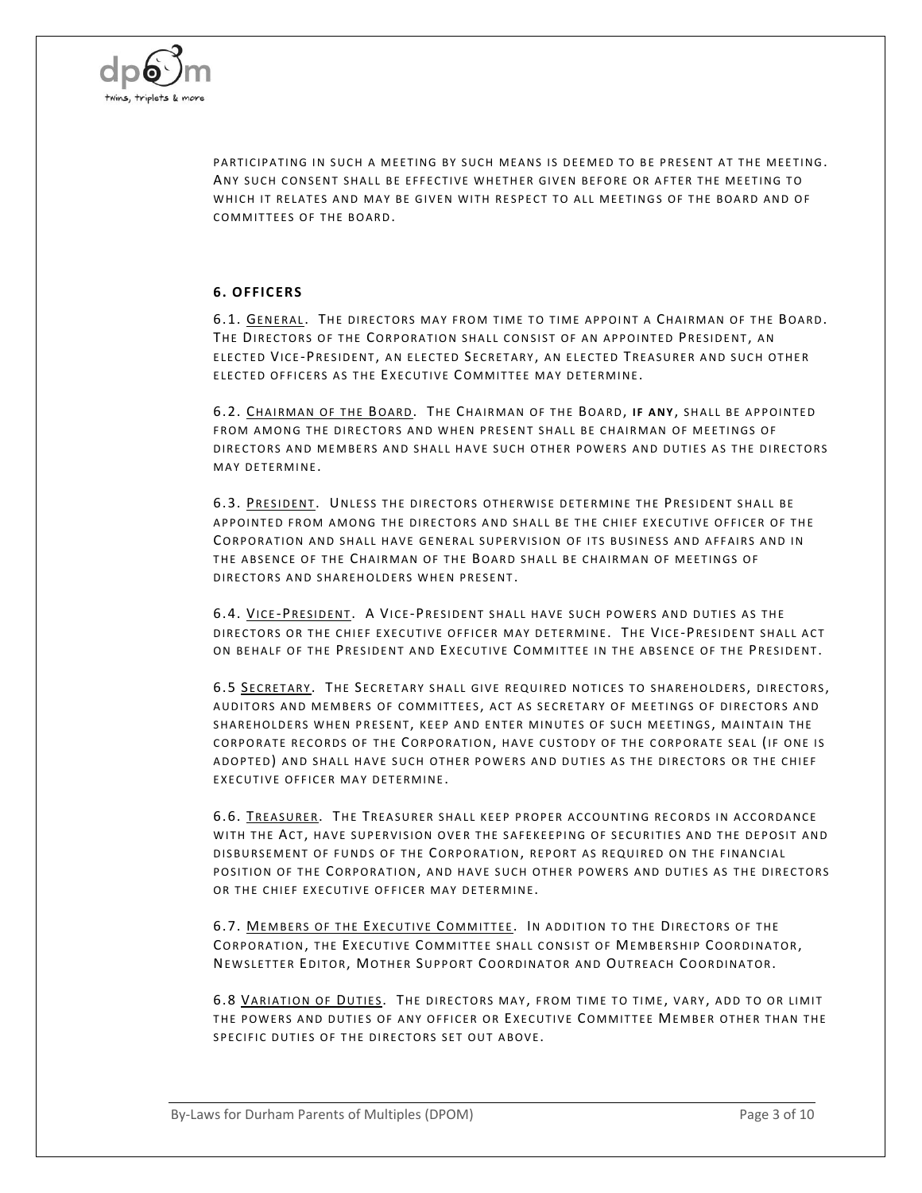

PARTICIPATING IN SUCH A MEETING BY SUCH MEANS IS DEEMED TO BE PRESENT AT THE MEETING. ANY SUCH CONSENT SHALL BE FFFFCTIVE WHETHER GIVEN BEFORE OR AFTER THE MEETING TO WHICH IT RELATES AND MAY BE GIVEN WITH RESPECT TO ALL MEETINGS OF THE BOARD AND OF COMMITTEES OF THE BOARD.

#### **6. OFFICERS**

6.1. GENERAL. THE DIRECTORS MAY FROM TIME TO TIME APPOINT A CHAIRMAN OF THE BOARD. THE DIRECTORS OF THE CORPORATION SHALL CONSIST OF AN APPOINTED PRESIDENT, AN ELECTED VICE-PRESIDENT, AN ELECTED SECRETARY, AN ELECTED TREASURER AND SUCH OTHER ELECTED OFFICERS AS THE EXECUTIVE COMMITTEE MAY DETERMINE.

6.2. CHAIRMAN OF THE BOARD. THE CHAIRMAN OF THE BOARD, IF ANY, SHALL BE APPOINTED FROM AMONG THE DIRECTORS AND WHEN PRESENT SHALL BE CHAIRMAN OF MEETINGS OF DIRECTORS AND MEMBERS AND SHALL HAVE SUCH OTHER POWERS AND DUTIES AS THE DIRECTORS MAY DETERMINE

6.3. PRESIDENT. UNLESS THE DIRECTORS OTHERWISE DETERMINE THE PRESIDENT SHALL BE APPOINTED FROM AMONG THE DIRECTORS AND SHALL BE THE CHIEF EXECUTIVE OFFICER OF THE CORPORATION AND SHALL HAVE GENERAL SUPERVISION OF ITS BUSINESS AND AFFAIRS AND IN THE ABSENCE OF THE CHAIRMAN OF THE BOARD SHALL BE CHAIRMAN OF MEETINGS OF DIRECTORS AND SHAREHOLDERS WHEN PRESENT.

6.4. VICE-PRESIDENT. A VICE-PRESIDENT SHALL HAVE SUCH POWERS AND DUTIES AS THE DIRECTORS OR THE CHIEF EXECUTIVE OFFICER MAY DETERMINE. THE VICE-PRESIDENT SHALL ACT ON BEHALF OF THE PRESIDENT AND EXECUTIVE COMMITTEE IN THE ABSENCE OF THE PRESIDENT.

6.5 SECRETARY. THE SECRETARY SHALL GIVE REQUIRED NOTICES TO SHAREHOLDERS, DIRECTORS, AUDITORS AND MEMBERS OF COMMITTEES, ACT AS SECRETARY OF MEETINGS OF DIRECTORS AND SHAREHOLDERS WHEN PRESENT, KEEP AND ENTER MINUTES OF SUCH MEETINGS, MAINTAIN THE CORPORATE RECORDS OF THE CORPORATION, HAVE CUSTODY OF THE CORPORATE SEAL (IF ONE IS ADOPTED) AND SHALL HAVE SUCH OTHER POWERS AND DUTIES AS THE DIRECTORS OR THE CHIEF EXECUTIVE OFFICER MAY DETERMINE.

6.6. TREASURER. THE TREASURER SHALL KEEP PROPER ACCOUNTING RECORDS IN ACCORDANCE WITH THE ACT, HAVE SUPERVISION OVER THE SAFEKEEPING OF SECURITIES AND THE DEPOSIT AND DISBURSEMENT OF FUNDS OF THE CORPORATION, REPORT AS REQUIRED ON THE FINANCIAL POSITION OF THE CORPORATION, AND HAVE SUCH OTHER POWERS AND DUTIES AS THE DIRECTORS OR THE CHIEF EXECUTIVE OFFICER MAY DETERMINE.

6.7. MEMBERS OF THE EXECUTIVE COMMITTEE. IN ADDITION TO THE DIRECTORS OF THE CORPORATION, THE EXECUTIVE COMMITTEE SHALL CONSIST OF MEMBERSHIP COORDINATOR, NEWSLETTER EDITOR, MOTHER SUPPORT COORDINATOR AND OUTREACH COORDINATOR.

6.8 VARIATION OF DUTIES. THE DIRECTORS MAY, FROM TIME TO TIME, VARY, ADD TO OR LIMIT THE POWERS AND DUTIES OF ANY OFFICER OR EXECUTIVE COMMITTEE MEMBER OTHER THAN THE SPECIFIC DUTIES OF THE DIRECTORS SET OUT ABOVE.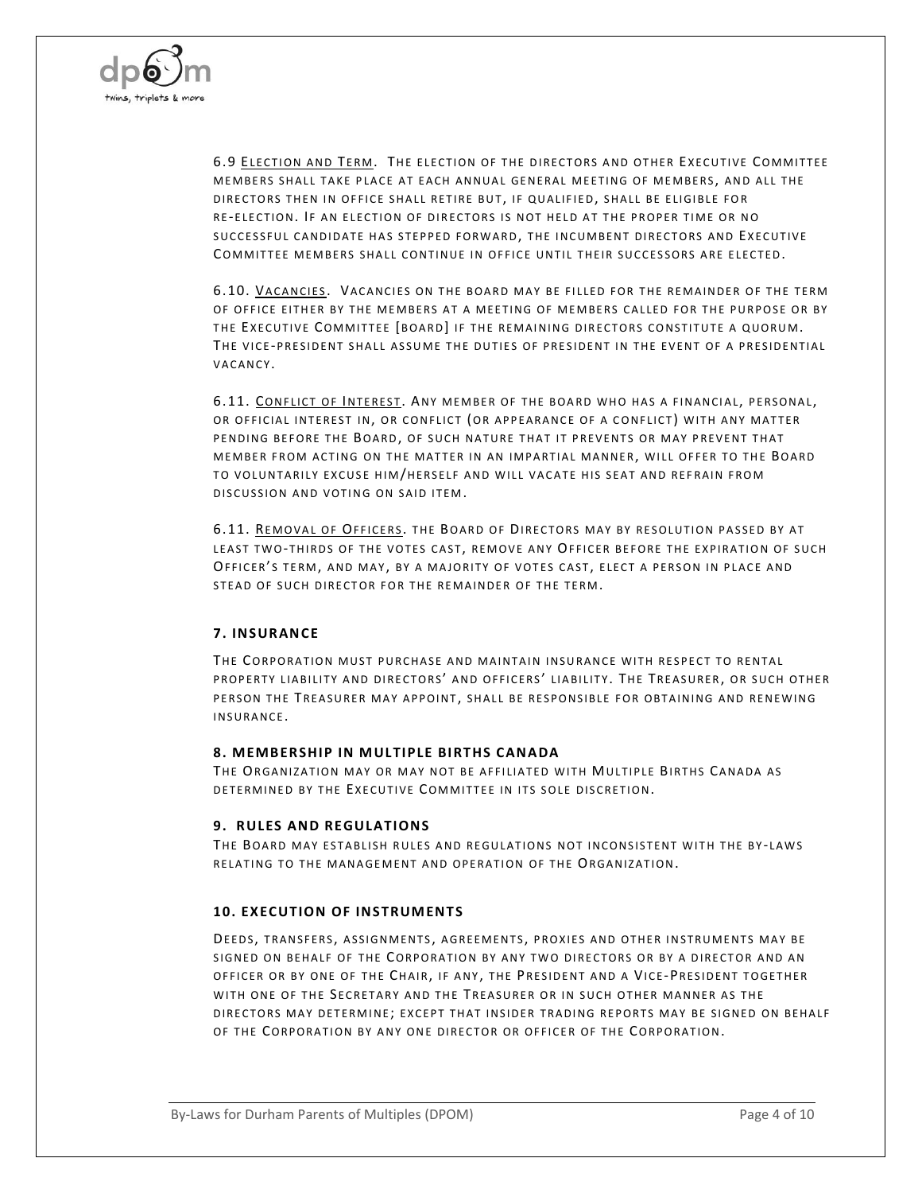

6.9 ELECTION AND TERM. THE ELECTION OF THE DIRECTORS AND OTHER EXECUTIVE COMMITTEE MEMBERS SHALL TAKE PLACE AT EACH ANNUAL GENERAL MEETING OF MEMBERS, AND ALL THE DIRECTORS THEN IN OFFICE SHALL RETIRE BUT, IF QUALIFIED, SHALL BE ELIGIBLE FOR RE-ELECTION. IF AN ELECTION OF DIRECTORS IS NOT HELD AT THE PROPER TIME OR NO SUCCESSFUL CANDIDATE HAS STEPPED FORWARD, THE INCUMBENT DIRECTORS AND EXECUTIVE COMMITTEE MEMBERS SHALL CONTINUE IN OFFICE UNTIL THEIR SUCCESSORS ARE ELECTED.

6.10. VACANCIES. VACANCIES ON THE BOARD MAY BE FILLED FOR THE REMAINDER OF THE TERM OF OFFICE EITHER BY THE MEMBERS AT A MEETING OF MEMBERS CALLED FOR THE PURPOSE OR BY THE EXECUTIVE COMMITTEE [BOARD] IF THE REMAINING DIRECTORS CONSTITUTE A QUORUM. THE VICE-PRESIDENT SHALL ASSUME THE DUTIES OF PRESIDENT IN THE EVENT OF A PRESIDENTIAL VACANCY.

6.11. CONFLICT OF INTEREST. ANY MEMBER OF THE BOARD WHO HAS A FINANCIAL, PERSONAL, OR OFFICIAL INTEREST IN, OR CONFLICT (OR APPEARANCE OF A CONFLICT) WITH ANY MATTER PENDING BEFORE THE BOARD, OF SUCH NATURE THAT IT PREVENTS OR MAY PREVENT THAT MEMBER FROM ACTING ON THE MATTER IN AN IMPARTIAL MANNER, WILL OFFER TO THE BOARD TO VOLUNTARILY EXCUSE HIM/HERSELF AND WILL VACATE HIS SEAT AND REFRAIN FROM DISCUSSION AND VOTING ON SAID ITEM.

6.11. REMOVAL OF OFFICERS. THE BOARD OF DIRECTORS MAY BY RESOLUTION PASSED BY AT LEAST TWO-THIRDS OF THE VOTES CAST, REMOVE ANY OFFICER BEFORE THE EXPIRATION OF SUCH OFFICER'S TERM, AND MAY, BY A MAJORITY OF VOTES CAST, ELECT A PERSON IN PLACE AND STEAD OF SUCH DIRECTOR FOR THE REMAINDER OF THE TERM.

## **7. INSURANCE**

THE CORPORATION MUST PURCHASE AND MAINTAIN INSURANCE WITH RESPECT TO RENTAL PROPERTY LIABILITY AND DIRECTORS' AND OFFICERS' LIABILITY. THE TREASURER, OR SUCH OTHER PERSON THE TREASURER MAY APPOINT, SHALL BE RESPONSIBLE FOR OBTAINING AND RENEWING INSURANCE.

#### **8. M EMB ERSHIP IN M ULTIPLE BIRTHS CANADA**

THE ORGANIZATION MAY OR MAY NOT BE AFFILIATED WITH MULTIPLE BIRTHS CANADA AS DETERMINED BY THE EXECUTIVE COMMITTEE IN ITS SOLE DISCRETION.

#### **9. RULES AND REGULATIONS**

THE BOARD MAY ESTABLISH RULES AND REGULATIONS NOT INCONSISTENT WITH THE BY-LAWS RELATING TO THE MANAGEMENT AND OPERATION OF THE ORGANIZATION.

## **10. EXECUTION OF INSTRUM ENTS**

DEEDS, TRANSFERS, ASSIGNMENTS, AGREEMENTS, PROXIES AND OTHER INSTRUMENTS MAY BE SIGNED ON BEHALF OF THE CORPORATION BY ANY TWO DIRECTORS OR BY A DIRECTOR AND AN OFFICER OR BY ONE OF THE CHAIR, IF ANY, THE PRESIDENT AND A VICE-PRESIDENT TOGETHER WITH ONE OF THE SECRETARY AND THE TREASURER OR IN SUCH OTHER MANNER AS THE DIRECTORS MAY DETERMINE; EXCEPT THAT INSIDER TRADING REPORTS MAY BE SIGNED ON BEHALF OF THE CORPORATION BY ANY ONE DIRECTOR OR OFFICER OF THE CORPORATION.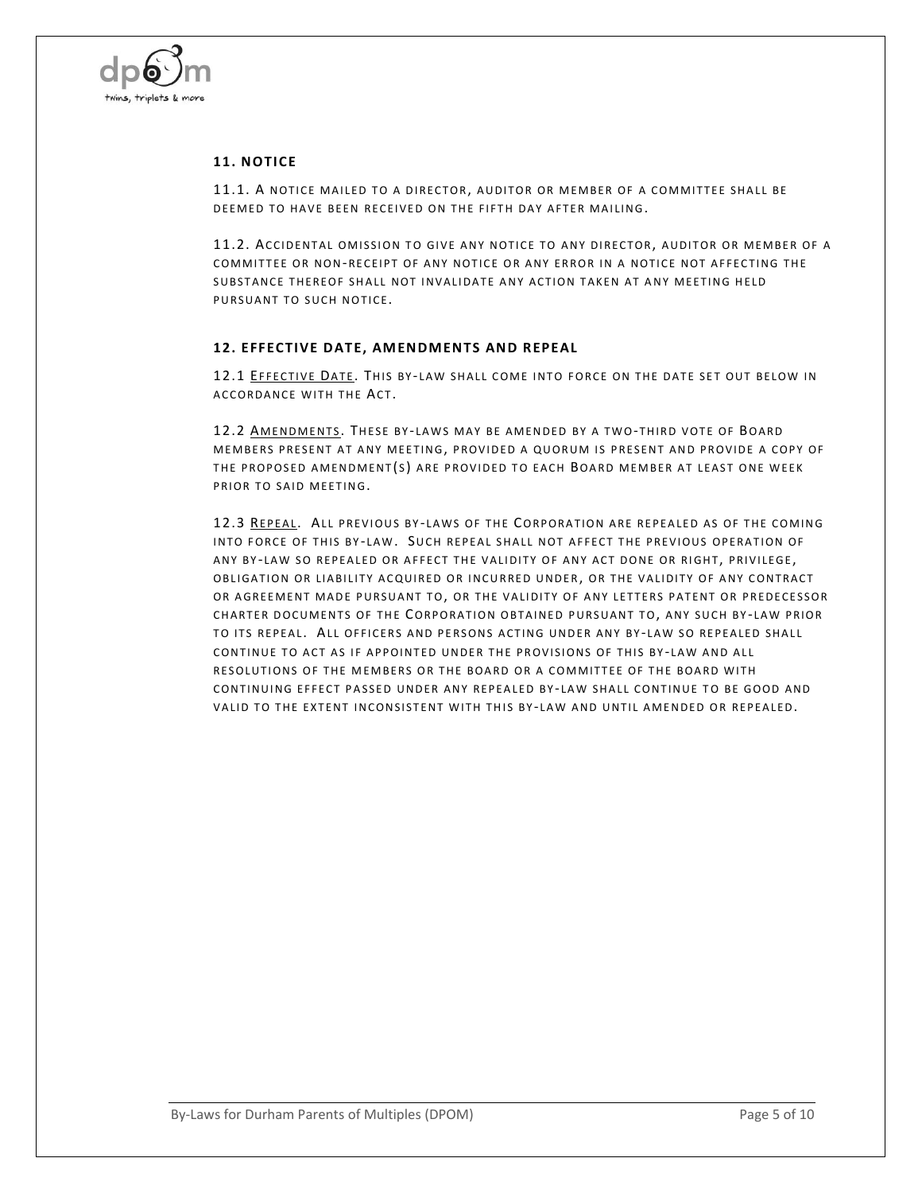

## **11. NOTICE**

11.1. A NOTICE MAILED TO A DIRECTOR, AUDITOR OR MEMBER OF A COMMITTEE SHALL BE DEEMED TO HAVE BEEN RECEIVED ON THE FIFTH DAY AFTER MAILING.

11.2. ACCIDENTAL OMISSION TO GIVE ANY NOTICE TO ANY DIRECTOR, AUDITOR OR MEMBER OF A COMMITTEE OR NON-RECEIPT OF ANY NOTICE OR ANY ERROR IN A NOTICE NOT AFFECTING THE SUBSTANCE THEREOF SHALL NOT INVALIDATE ANY ACTION TAKEN AT ANY MEETING HELD PURSUANT TO SUCH NOTICE.

#### **12. EFFECTIVE DATE, AM ENDM ENTS AND REPEAL**

12.1 EFFECTIVE DATE. THIS BY-LAW SHALL COME INTO FORCE ON THE DATE SET OUT BELOW IN ACCORDANCE WITH THE ACT.

12.2 AMENDMENTS. THESE BY-LAWS MAY BE AMENDED BY A TWO-THIRD VOTE OF BOARD MEMBERS PRESENT AT ANY MEETING, PROVIDED A QUORUM IS PRESENT AND PROVIDE A COPY OF THE PROPOSED AMENDMENT(S) ARE PROVIDED TO EACH BOARD MEMBER AT LEAST ONE WEEK PRIOR TO SAID MEETING.

12.3 REPEAL. ALL PREVIOUS BY-LAWS OF THE CORPORATION ARE REPEALED AS OF THE COMING INTO FORCE OF THIS BY-LAW. SUCH REPEAL SHALL NOT AFFECT THE PREVIOUS OPERATION OF ANY BY-LAW SO REPEALED OR AFFECT THE VALIDITY OF ANY ACT DONE OR RIGHT, PRIVILEGE, OBLIGATION OR LIABILITY ACQUIRED OR INCURRED UNDER, OR THE VALIDITY OF ANY CONTRACT OR AGREEMENT MADE PURSUANT TO, OR THE VALIDITY OF ANY LETTERS PATENT OR PREDECESSOR CHARTER DOCUMENTS OF THE CORPORATION OBTAINED PURSUANT TO, ANY SUCH BY-LAW PRIOR TO ITS REPEAL. ALL OFFICERS AND PERSONS ACTING UNDER ANY BY-LAW SO REPEALED SHALL CONTINUE TO ACT AS IF APPOINTED UNDER THE PROVISIONS OF THIS BY-LAW AND ALL RESOLUTIONS OF THE MEMBERS OR THE BOARD OR A COMMITTEE OF THE BOARD WITH CONTINUING EFFECT PASSED UNDER ANY REPEALED BY-LAW SHALL CONTINUE TO BE GOOD AND VALID TO THE EXTENT INCONSISTENT WITH THIS BY-LAW AND UNTIL AMENDED OR REPEALED.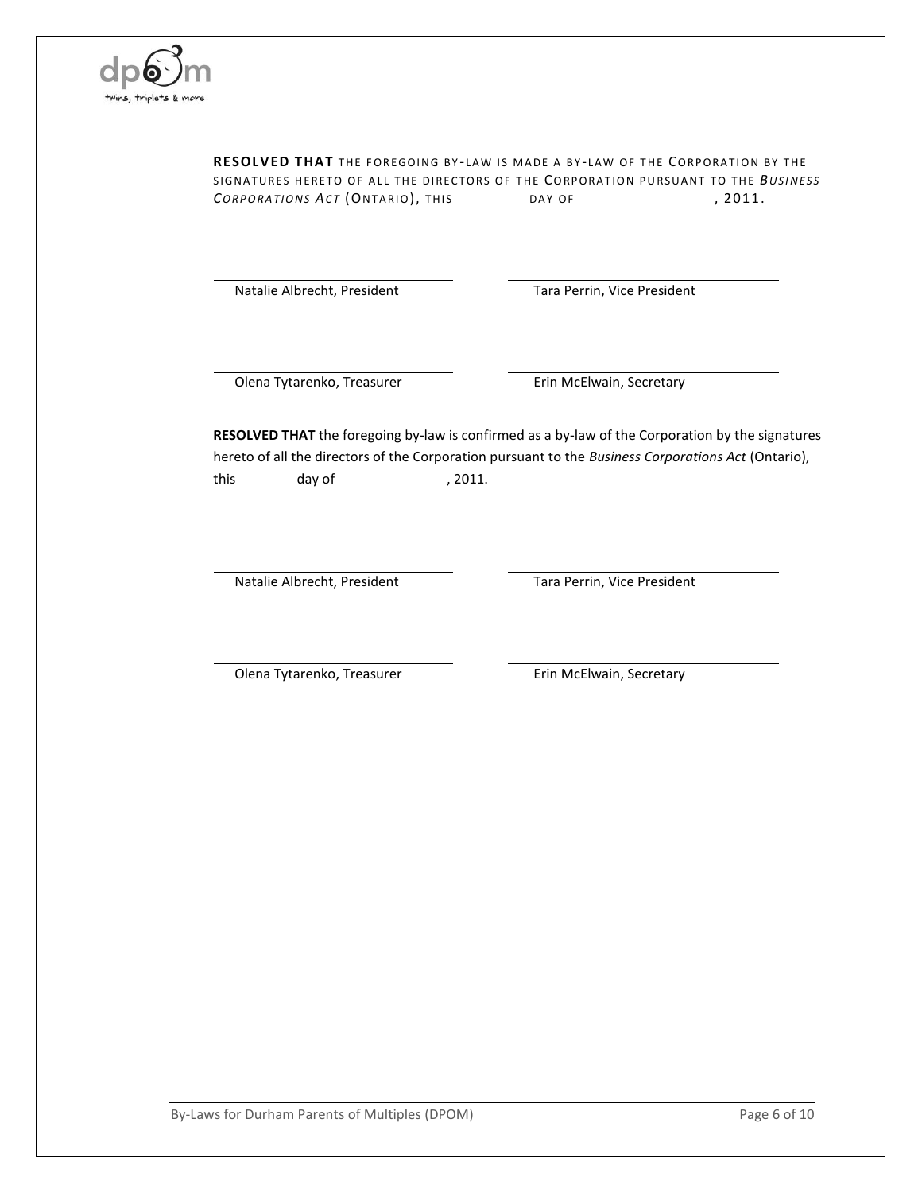

RESOLVED THAT THE FOREGOING BY-LAW IS MADE A BY-LAW OF THE CORPORATION BY THE SIGNATURES HERETO OF ALL THE DIRECTORS OF THE CORPORATION PURSUANT TO THE *BUSINESS CORPORATIONS ACT* (ONTARIO), THIS DAY OF , 2011.

Natalie Albrecht, President Tara Perrin, Vice President

Olena Tytarenko, Treasurer **Erin McElwain, Secretary** 

**RESOLVED THAT** the foregoing by-law is confirmed as a by-law of the Corporation by the signatures hereto of all the directors of the Corporation pursuant to the *Business Corporations Act* (Ontario), this day of , 2011.

Natalie Albrecht, President Tara Perrin, Vice President

Olena Tytarenko, Treasurer **Erin McElwain, Secretary** 

By-Laws for Durham Parents of Multiples (DPOM) example 20 and the Capacity Page 6 of 10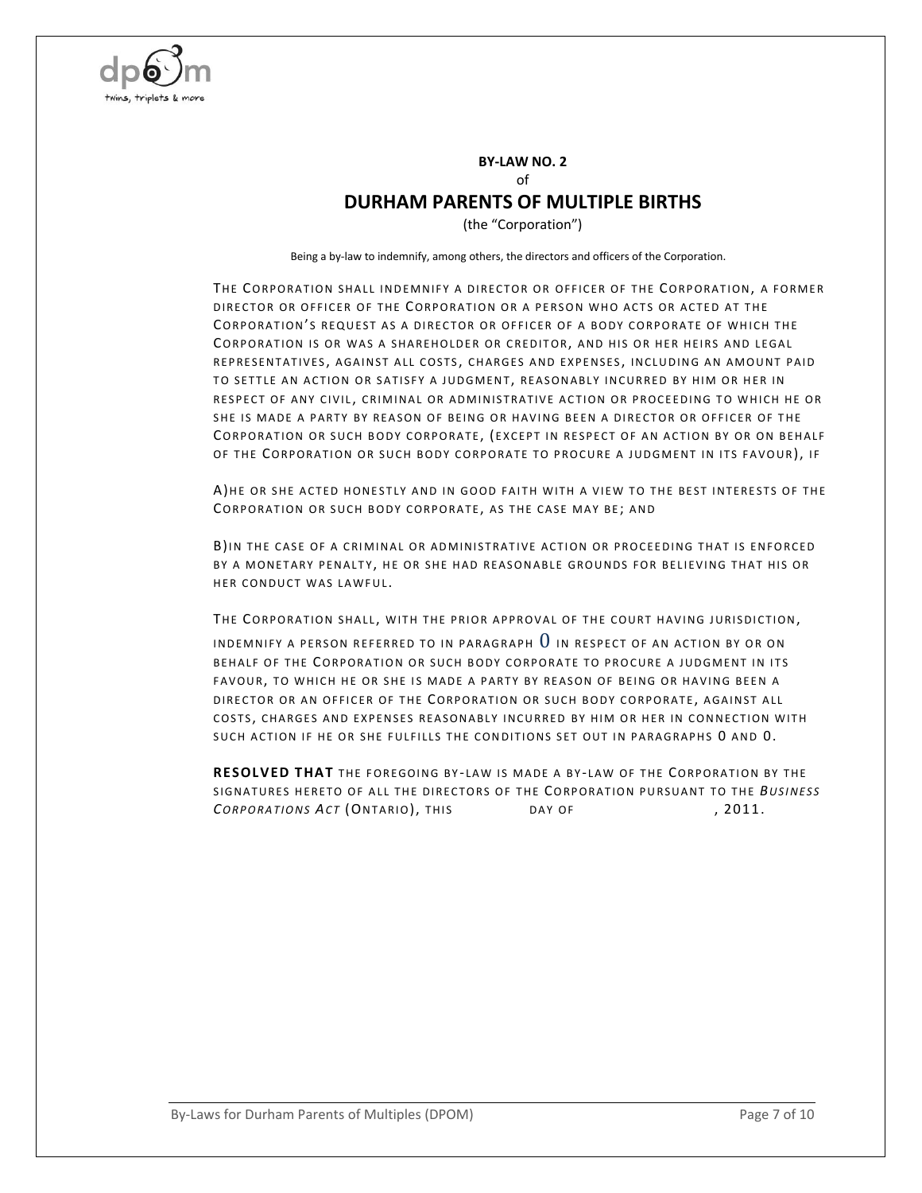

#### **BY-LAW NO. 2** of

## **DURHAM PARENTS OF MULTIPLE BIRTHS**

(the "Corporation")

Being a by-law to indemnify, among others, the directors and officers of the Corporation.

<span id="page-6-0"></span>THE CORPORATION SHALL INDEMNIFY A DIRECTOR OR OFFICER OF THE CORPORATION, A FORMER DIRECTOR OR OFFICER OF THE CORPORATION OR A PERSON WHO ACTS OR ACTED AT THE CORPORATION'S REQUEST AS A DIRECTOR OR OFFICER OF A BODY CORPORATE OF WHICH THE CORPORATION IS OR WAS A SHAREHOLDER OR CREDITOR, AND HIS OR HER HEIRS AND LEGAL REPRESENTATIVES, AGAINST ALL COSTS, CHARGES AND EXPENSES, INCLUDING AN AMOUNT PAID TO SETTLE AN ACTION OR SATISFY A JUDGMENT, REASONABLY INCURRED BY HIM OR HER IN RESPECT OF ANY CIVIL, CRIMINAL OR ADMINISTRATIVE ACTION OR PROCEEDING TO WHICH HE OR SHE IS MADE A PARTY BY REASON OF BEING OR HAVING BEEN A DIRECTOR OR OFFICER OF THE CORPORATION OR SUCH BODY CORPORATE, (EXCEPT IN RESPECT OF AN ACTION BY OR ON BEHALF OF THE CORPORATION OR SUCH BODY CORPORATE TO PROCURE A JUDGMENT IN ITS FAVOUR), IF

<span id="page-6-1"></span>A)HE OR SHE ACTED HONESTLY AND IN GOOD FAITH WITH A VIEW TO THE BEST INTERESTS OF THE CORPORATION OR SUCH BODY CORPORATE, AS THE CASE MAY BE; AND

<span id="page-6-2"></span>B)IN THE CASE OF A CRIMINAL OR ADMINISTRATIVE ACTION OR PROCEEDING THAT IS ENFORCED BY A MONETARY PENALTY, HE OR SHE HAD REASONABLE GROUNDS FOR BELIEVING THAT HIS OR HER CONDUCT WAS LAWFUL.

THE CORPORATION SHALL, WITH THE PRIOR APPROVAL OF THE COURT HAVING JURISDICTION,

IN DEMNIFY A PERSON REFERRED TO IN PARAGRAPH  $0$  in respect of an action by or on BEHALF OF THE CORPORATION OR SUCH BODY CORPORATE TO PROCURE A JUDGMENT IN ITS FAVOUR, TO WHICH HE OR SHE IS MADE A PARTY BY REASON OF BEING OR HAVING BEEN A DIRECTOR OR AN OFFICER OF THE CORPORATION OR SUCH BODY CORPORATE, AGAINST ALL COSTS, CHARGES AND EXPENSES REASONABLY INCURRED BY HIM OR HER IN CONNECTION WITH SUCH ACTION IF HE OR SHE FULFILLS THE CONDITIONS SET OUT IN PARAGRAPHS [0](#page-6-1) AND [0.](#page-6-2)

RESOLVED THAT THE FOREGOING BY-LAW IS MADE A BY-LAW OF THE CORPORATION BY THE SIGNATURES HERETO OF ALL THE DIRECTORS OF THE CORPORATION PURSUANT TO THE BUSINESS **CORPORATIONS ACT (ONTARIO), THIS BAY OF , 2011.**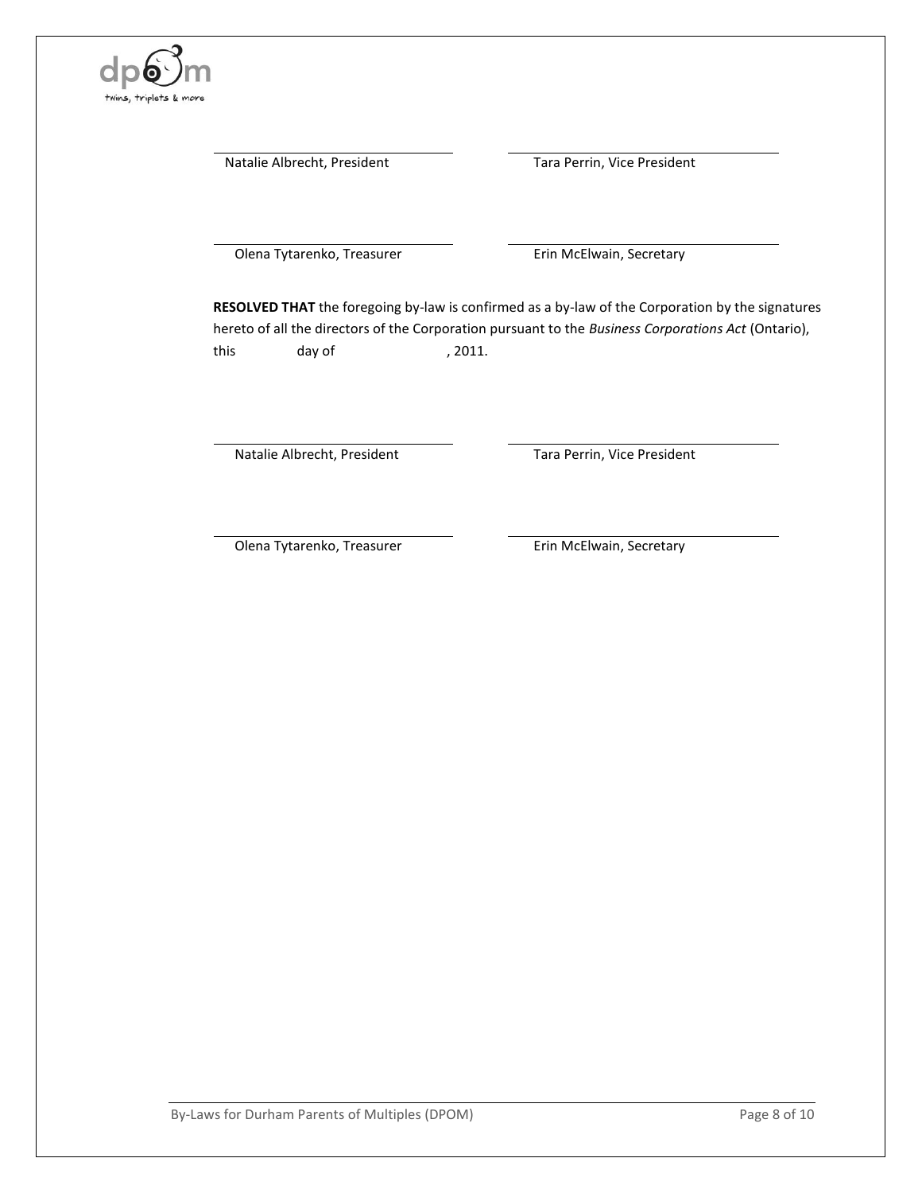

Natalie Albrecht, President Tara Perrin, Vice President

Olena Tytarenko, Treasurer **Erin McElwain, Secretary** 

**RESOLVED THAT** the foregoing by-law is confirmed as a by-law of the Corporation by the signatures hereto of all the directors of the Corporation pursuant to the *Business Corporations Act* (Ontario), this day of , 2011.

Natalie Albrecht, President Tara Perrin, Vice President

Olena Tytarenko, Treasurer **Erin McElwain, Secretary**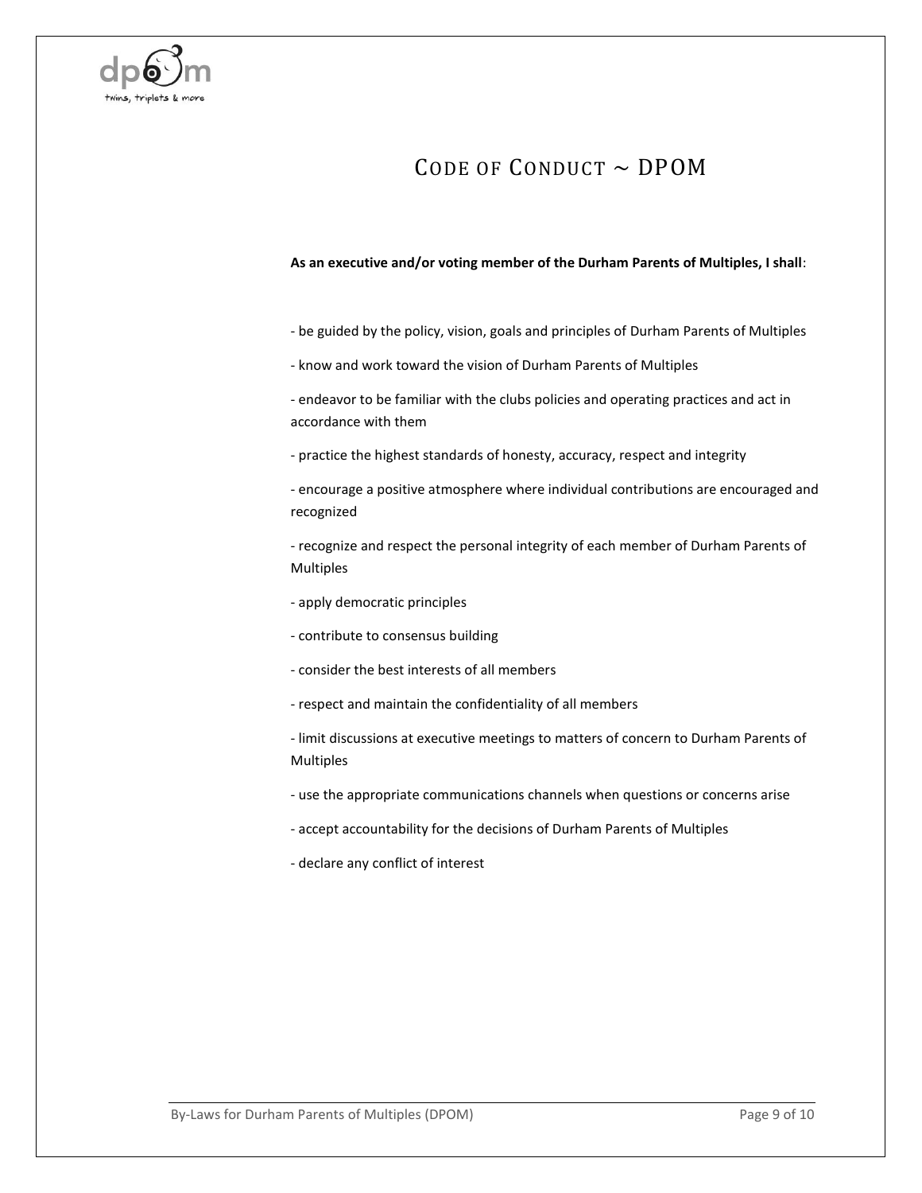

# CODE OF CONDUCT  $\sim$  DPOM

#### **As an executive and/or voting member of the Durham Parents of Multiples, I shall**:

- be guided by the policy, vision, goals and principles of Durham Parents of Multiples
- know and work toward the vision of Durham Parents of Multiples

- endeavor to be familiar with the clubs policies and operating practices and act in accordance with them

- practice the highest standards of honesty, accuracy, respect and integrity

- encourage a positive atmosphere where individual contributions are encouraged and recognized

- recognize and respect the personal integrity of each member of Durham Parents of Multiples

- apply democratic principles
- contribute to consensus building
- consider the best interests of all members
- respect and maintain the confidentiality of all members
- limit discussions at executive meetings to matters of concern to Durham Parents of Multiples
- use the appropriate communications channels when questions or concerns arise
- accept accountability for the decisions of Durham Parents of Multiples
- declare any conflict of interest